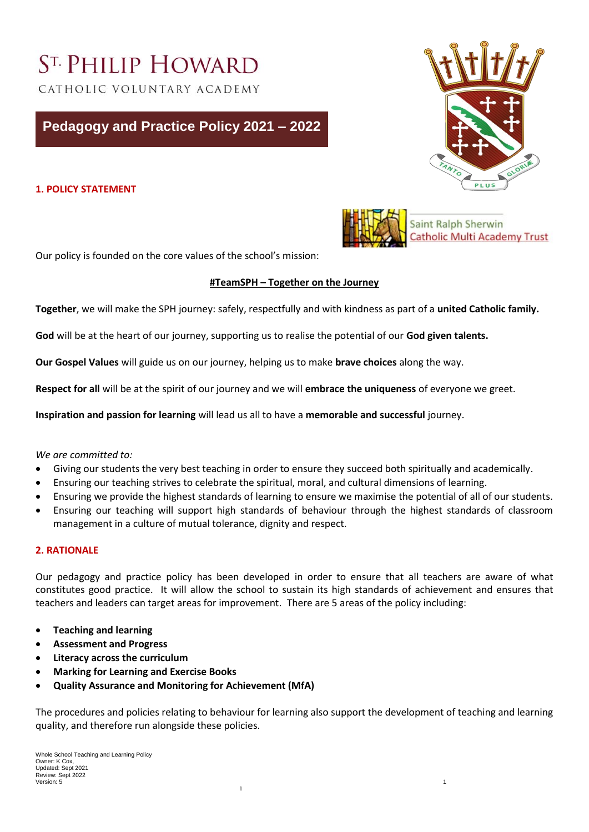# ST. PHILIP HOWARD

CATHOLIC VOLUNTARY ACADEMY

# **Pedagogy and Practice Policy 2021 – 2022**

# **1. POLICY STATEMENT**





Saint Ralph Sherwin **Catholic Multi Academy Trust** 

Our policy is founded on the core values of the school's mission:

# **#TeamSPH – Together on the Journey**

**Together**, we will make the SPH journey: safely, respectfully and with kindness as part of a **united Catholic family.** 

**God** will be at the heart of our journey, supporting us to realise the potential of our **God given talents.**

**Our Gospel Values** will guide us on our journey, helping us to make **brave choices** along the way.

**Respect for all** will be at the spirit of our journey and we will **embrace the uniqueness** of everyone we greet.

**Inspiration and passion for learning** will lead us all to have a **memorable and successful** journey.

#### *We are committed to:*

- Giving our students the very best teaching in order to ensure they succeed both spiritually and academically.
- Ensuring our teaching strives to celebrate the spiritual, moral, and cultural dimensions of learning.
- Ensuring we provide the highest standards of learning to ensure we maximise the potential of all of our students.
- Ensuring our teaching will support high standards of behaviour through the highest standards of classroom management in a culture of mutual tolerance, dignity and respect.

#### **2. RATIONALE**

Our pedagogy and practice policy has been developed in order to ensure that all teachers are aware of what constitutes good practice. It will allow the school to sustain its high standards of achievement and ensures that teachers and leaders can target areas for improvement. There are 5 areas of the policy including:

- **Teaching and learning**
- **Assessment and Progress**
- **Literacy across the curriculum**
- **Marking for Learning and Exercise Books**
- **Quality Assurance and Monitoring for Achievement (MfA)**

The procedures and policies relating to behaviour for learning also support the development of teaching and learning quality, and therefore run alongside these policies.

1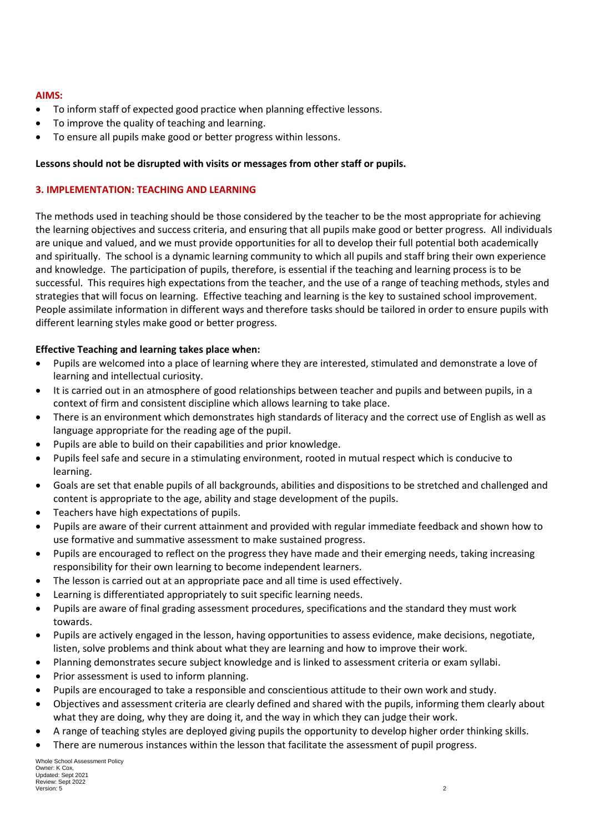#### **AIMS:**

- To inform staff of expected good practice when planning effective lessons.
- To improve the quality of teaching and learning.
- To ensure all pupils make good or better progress within lessons.

#### **Lessons should not be disrupted with visits or messages from other staff or pupils.**

#### **3. IMPLEMENTATION: TEACHING AND LEARNING**

The methods used in teaching should be those considered by the teacher to be the most appropriate for achieving the learning objectives and success criteria, and ensuring that all pupils make good or better progress. All individuals are unique and valued, and we must provide opportunities for all to develop their full potential both academically and spiritually. The school is a dynamic learning community to which all pupils and staff bring their own experience and knowledge. The participation of pupils, therefore, is essential if the teaching and learning process is to be successful. This requires high expectations from the teacher, and the use of a range of teaching methods, styles and strategies that will focus on learning. Effective teaching and learning is the key to sustained school improvement. People assimilate information in different ways and therefore tasks should be tailored in order to ensure pupils with different learning styles make good or better progress.

#### **Effective Teaching and learning takes place when:**

- Pupils are welcomed into a place of learning where they are interested, stimulated and demonstrate a love of learning and intellectual curiosity.
- It is carried out in an atmosphere of good relationships between teacher and pupils and between pupils, in a context of firm and consistent discipline which allows learning to take place.
- There is an environment which demonstrates high standards of literacy and the correct use of English as well as language appropriate for the reading age of the pupil.
- Pupils are able to build on their capabilities and prior knowledge.
- Pupils feel safe and secure in a stimulating environment, rooted in mutual respect which is conducive to learning.
- Goals are set that enable pupils of all backgrounds, abilities and dispositions to be stretched and challenged and content is appropriate to the age, ability and stage development of the pupils.
- Teachers have high expectations of pupils.
- Pupils are aware of their current attainment and provided with regular immediate feedback and shown how to use formative and summative assessment to make sustained progress.
- Pupils are encouraged to reflect on the progress they have made and their emerging needs, taking increasing responsibility for their own learning to become independent learners.
- The lesson is carried out at an appropriate pace and all time is used effectively.
- Learning is differentiated appropriately to suit specific learning needs.
- Pupils are aware of final grading assessment procedures, specifications and the standard they must work towards.
- Pupils are actively engaged in the lesson, having opportunities to assess evidence, make decisions, negotiate, listen, solve problems and think about what they are learning and how to improve their work.
- Planning demonstrates secure subject knowledge and is linked to assessment criteria or exam syllabi.
- Prior assessment is used to inform planning.
- Pupils are encouraged to take a responsible and conscientious attitude to their own work and study.
- Objectives and assessment criteria are clearly defined and shared with the pupils, informing them clearly about what they are doing, why they are doing it, and the way in which they can judge their work.
- A range of teaching styles are deployed giving pupils the opportunity to develop higher order thinking skills.
- There are numerous instances within the lesson that facilitate the assessment of pupil progress.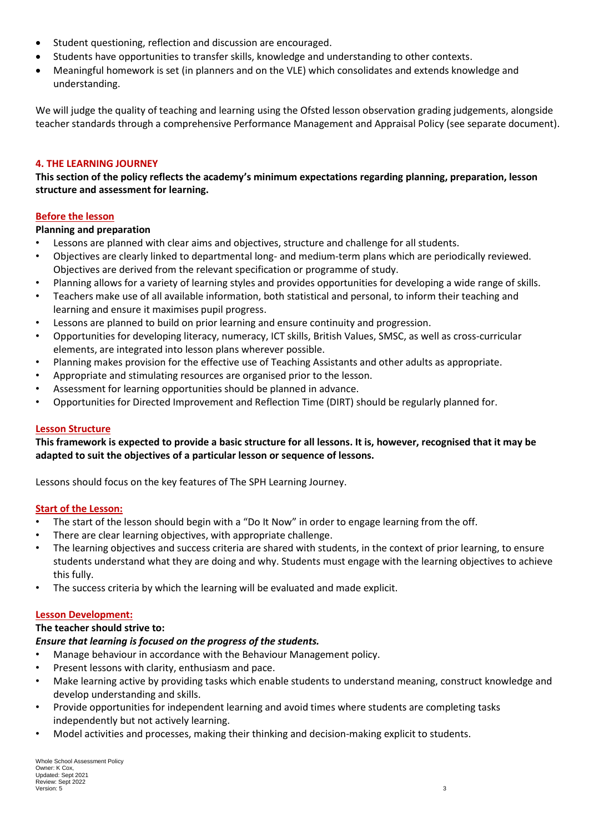- Student questioning, reflection and discussion are encouraged.
- Students have opportunities to transfer skills, knowledge and understanding to other contexts.
- Meaningful homework is set (in planners and on the VLE) which consolidates and extends knowledge and understanding.

We will judge the quality of teaching and learning using the Ofsted lesson observation grading judgements, alongside teacher standards through a comprehensive Performance Management and Appraisal Policy (see separate document).

### **4. THE LEARNING JOURNEY**

**This section of the policy reflects the academy's minimum expectations regarding planning, preparation, lesson structure and assessment for learning.** 

#### **Before the lesson**

#### **Planning and preparation**

- Lessons are planned with clear aims and objectives, structure and challenge for all students.
- Objectives are clearly linked to departmental long- and medium-term plans which are periodically reviewed. Objectives are derived from the relevant specification or programme of study.
- Planning allows for a variety of learning styles and provides opportunities for developing a wide range of skills.
- Teachers make use of all available information, both statistical and personal, to inform their teaching and learning and ensure it maximises pupil progress.
- Lessons are planned to build on prior learning and ensure continuity and progression.
- Opportunities for developing literacy, numeracy, ICT skills, British Values, SMSC, as well as cross-curricular elements, are integrated into lesson plans wherever possible.
- Planning makes provision for the effective use of Teaching Assistants and other adults as appropriate.
- Appropriate and stimulating resources are organised prior to the lesson.
- Assessment for learning opportunities should be planned in advance.
- Opportunities for Directed Improvement and Reflection Time (DIRT) should be regularly planned for.

#### **Lesson Structure**

#### **This framework is expected to provide a basic structure for all lessons. It is, however, recognised that it may be adapted to suit the objectives of a particular lesson or sequence of lessons.**

Lessons should focus on the key features of The SPH Learning Journey.

#### **Start of the Lesson:**

- The start of the lesson should begin with a "Do It Now" in order to engage learning from the off.
- There are clear learning objectives, with appropriate challenge.
- The learning objectives and success criteria are shared with students, in the context of prior learning, to ensure students understand what they are doing and why. Students must engage with the learning objectives to achieve this fully.
- The success criteria by which the learning will be evaluated and made explicit.

#### **Lesson Development:**

#### **The teacher should strive to:**

# *Ensure that learning is focused on the progress of the students.*

- Manage behaviour in accordance with the Behaviour Management policy.
- Present lessons with clarity, enthusiasm and pace.
- Make learning active by providing tasks which enable students to understand meaning, construct knowledge and develop understanding and skills.
- Provide opportunities for independent learning and avoid times where students are completing tasks independently but not actively learning.
- Model activities and processes, making their thinking and decision-making explicit to students.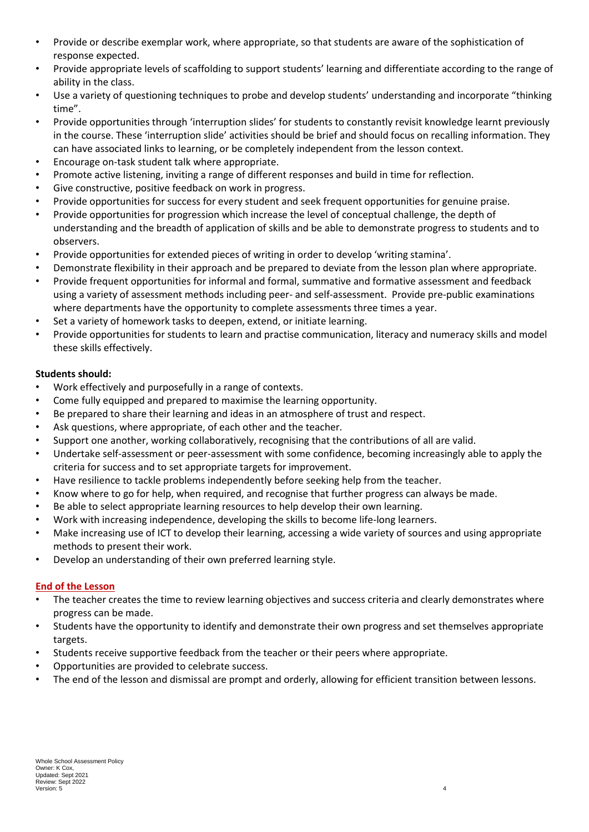- Provide or describe exemplar work, where appropriate, so that students are aware of the sophistication of response expected.
- Provide appropriate levels of scaffolding to support students' learning and differentiate according to the range of ability in the class.
- Use a variety of questioning techniques to probe and develop students' understanding and incorporate "thinking time".
- Provide opportunities through 'interruption slides' for students to constantly revisit knowledge learnt previously in the course. These 'interruption slide' activities should be brief and should focus on recalling information. They can have associated links to learning, or be completely independent from the lesson context.
- Encourage on-task student talk where appropriate.
- Promote active listening, inviting a range of different responses and build in time for reflection.
- Give constructive, positive feedback on work in progress.
- Provide opportunities for success for every student and seek frequent opportunities for genuine praise.
- Provide opportunities for progression which increase the level of conceptual challenge, the depth of understanding and the breadth of application of skills and be able to demonstrate progress to students and to observers.
- Provide opportunities for extended pieces of writing in order to develop 'writing stamina'.
- Demonstrate flexibility in their approach and be prepared to deviate from the lesson plan where appropriate.
- Provide frequent opportunities for informal and formal, summative and formative assessment and feedback using a variety of assessment methods including peer- and self-assessment. Provide pre-public examinations where departments have the opportunity to complete assessments three times a year.
- Set a variety of homework tasks to deepen, extend, or initiate learning.
- Provide opportunities for students to learn and practise communication, literacy and numeracy skills and model these skills effectively.

# **Students should:**

- Work effectively and purposefully in a range of contexts.
- Come fully equipped and prepared to maximise the learning opportunity.
- Be prepared to share their learning and ideas in an atmosphere of trust and respect.
- Ask questions, where appropriate, of each other and the teacher.
- Support one another, working collaboratively, recognising that the contributions of all are valid.
- Undertake self-assessment or peer-assessment with some confidence, becoming increasingly able to apply the criteria for success and to set appropriate targets for improvement.
- Have resilience to tackle problems independently before seeking help from the teacher.
- Know where to go for help, when required, and recognise that further progress can always be made.
- Be able to select appropriate learning resources to help develop their own learning.
- Work with increasing independence, developing the skills to become life-long learners.
- Make increasing use of ICT to develop their learning, accessing a wide variety of sources and using appropriate methods to present their work.
- Develop an understanding of their own preferred learning style.

# **End of the Lesson**

- The teacher creates the time to review learning objectives and success criteria and clearly demonstrates where progress can be made.
- Students have the opportunity to identify and demonstrate their own progress and set themselves appropriate targets.
- Students receive supportive feedback from the teacher or their peers where appropriate.
- Opportunities are provided to celebrate success.
- The end of the lesson and dismissal are prompt and orderly, allowing for efficient transition between lessons.